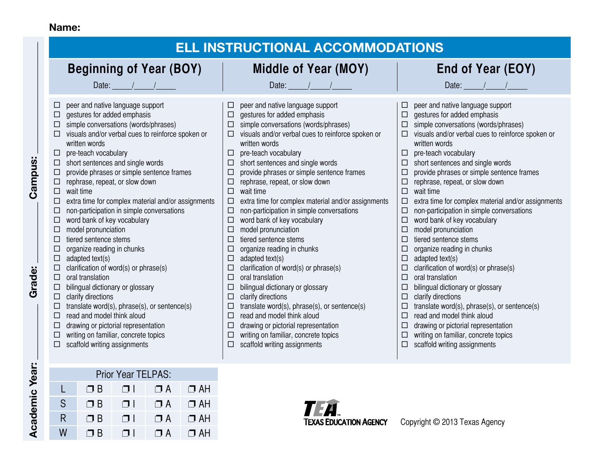## **Name:**

|                     | <b>ELL INSTRUCTIONAL ACCOMMODATIONS</b>                  |                                                                                                                                                                                                                                                                                                                                                                                                                                                                                                                                                                                                                                                                                                                                                                                                                                                                                                     |                  |                      |                        |                                                                                                                                                                                                                                                                                                                                                                                                                                                                                                                                                                                                                                                                                                                                                                                                                                                                                                                                                                                                                                                         |                                                                                                                                                                                                                                                                                                                                                                                                                                                                                                                                                                                                                                                                                                                                                                                                                                                                                                                                                                                                                                                                                                           |  |  |  |
|---------------------|----------------------------------------------------------|-----------------------------------------------------------------------------------------------------------------------------------------------------------------------------------------------------------------------------------------------------------------------------------------------------------------------------------------------------------------------------------------------------------------------------------------------------------------------------------------------------------------------------------------------------------------------------------------------------------------------------------------------------------------------------------------------------------------------------------------------------------------------------------------------------------------------------------------------------------------------------------------------------|------------------|----------------------|------------------------|---------------------------------------------------------------------------------------------------------------------------------------------------------------------------------------------------------------------------------------------------------------------------------------------------------------------------------------------------------------------------------------------------------------------------------------------------------------------------------------------------------------------------------------------------------------------------------------------------------------------------------------------------------------------------------------------------------------------------------------------------------------------------------------------------------------------------------------------------------------------------------------------------------------------------------------------------------------------------------------------------------------------------------------------------------|-----------------------------------------------------------------------------------------------------------------------------------------------------------------------------------------------------------------------------------------------------------------------------------------------------------------------------------------------------------------------------------------------------------------------------------------------------------------------------------------------------------------------------------------------------------------------------------------------------------------------------------------------------------------------------------------------------------------------------------------------------------------------------------------------------------------------------------------------------------------------------------------------------------------------------------------------------------------------------------------------------------------------------------------------------------------------------------------------------------|--|--|--|
|                     |                                                          | <b>Beginning of Year (BOY)</b><br>Date:                                                                                                                                                                                                                                                                                                                                                                                                                                                                                                                                                                                                                                                                                                                                                                                                                                                             |                  |                      |                        | Middle of Year (MOY)<br>Date:                                                                                                                                                                                                                                                                                                                                                                                                                                                                                                                                                                                                                                                                                                                                                                                                                                                                                                                                                                                                                           | End of Year (EOY)<br>Date: $\overline{\phantom{a}}$                                                                                                                                                                                                                                                                                                                                                                                                                                                                                                                                                                                                                                                                                                                                                                                                                                                                                                                                                                                                                                                       |  |  |  |
| Campus<br>Grade     | $\Box$<br>□<br>$\Box$<br>⊔<br>□<br>□<br>□<br>$\Box$<br>□ | peer and native language support<br>gestures for added emphasis<br>simple conversations (words/phrases)<br>visuals and/or verbal cues to reinforce spoken or<br>written words<br>pre-teach vocabulary<br>short sentences and single words<br>provide phrases or simple sentence frames<br>rephrase, repeat, or slow down<br>$\Box$ wait time<br>extra time for complex material and/or assignments<br>non-participation in simple conversations<br>word bank of key vocabulary<br>model pronunciation<br>tiered sentence stems<br>organize reading in chunks<br>adapted text(s)<br>clarification of word(s) or phrase(s)<br>oral translation<br>bilingual dictionary or glossary<br>clarify directions<br>translate word(s), phrase(s), or sentence(s)<br>read and model think aloud<br>drawing or pictorial representation<br>writing on familiar, concrete topics<br>scaffold writing assignments |                  |                      |                        | peer and native language support<br>$\Box$<br>gestures for added emphasis<br>□<br>simple conversations (words/phrases)<br>$\Box$<br>visuals and/or verbal cues to reinforce spoken or<br>written words<br>pre-teach vocabulary<br>$\Box$<br>short sentences and single words<br>□<br>provide phrases or simple sentence frames<br>rephrase, repeat, or slow down<br>wait time<br>$\Box$<br>extra time for complex material and/or assignments<br>$\Box$<br>non-participation in simple conversations<br>word bank of key vocabulary<br>⊔<br>model pronunciation<br>$\Box$<br>tiered sentence stems<br>$\Box$<br>organize reading in chunks<br>□<br>adapted text(s)<br>□<br>clarification of word(s) or phrase(s)<br>□<br>oral translation<br>□<br>bilingual dictionary or glossary<br>□<br>clarify directions<br>$\Box$<br>translate word(s), phrase(s), or sentence(s)<br>$\Box$<br>read and model think aloud<br>□<br>drawing or pictorial representation<br>□<br>writing on familiar, concrete topics<br>□<br>scaffold writing assignments<br>$\Box$ | peer and native language support<br>$\Box$<br>gestures for added emphasis<br>$\Box$<br>simple conversations (words/phrases)<br>$\Box$<br>visuals and/or verbal cues to reinforce spoken or<br>$\Box$<br>written words<br>pre-teach vocabulary<br>$\Box$<br>short sentences and single words<br>$\Box$<br>provide phrases or simple sentence frames<br>С<br>Г<br>rephrase, repeat, or slow down<br>$\Box$<br>wait time<br>extra time for complex material and/or assignments<br>$\Box$<br>non-participation in simple conversations<br>$\Box$<br>word bank of key vocabulary<br>$\Box$<br>model pronunciation<br>⊑<br>tiered sentence stems<br>С<br>Г<br>organize reading in chunks<br>С<br>adapted text(s)<br>clarification of word(s) or phrase(s)<br>$\Box$<br>$\Box$<br>oral translation<br>$\Box$<br>bilingual dictionary or glossary<br>clarify directions<br>$\Box$<br>translate word(s), phrase(s), or sentence(s)<br>$\Box$<br>read and model think aloud<br>$\Box$<br>drawing or pictorial representation<br>⊑<br>writing on familiar, concrete topics<br>С<br>scaffold writing assignments<br>□ |  |  |  |
|                     | Prior Year TELPAS:<br>$\Box$ B<br>$\Box$                 |                                                                                                                                                                                                                                                                                                                                                                                                                                                                                                                                                                                                                                                                                                                                                                                                                                                                                                     |                  | $\Box A$             | $\Box$ AH              |                                                                                                                                                                                                                                                                                                                                                                                                                                                                                                                                                                                                                                                                                                                                                                                                                                                                                                                                                                                                                                                         |                                                                                                                                                                                                                                                                                                                                                                                                                                                                                                                                                                                                                                                                                                                                                                                                                                                                                                                                                                                                                                                                                                           |  |  |  |
|                     | S                                                        | $\Box$ B                                                                                                                                                                                                                                                                                                                                                                                                                                                                                                                                                                                                                                                                                                                                                                                                                                                                                            | $\Box$           | $\Box A$             | $\Box$ AH              | <b>TEA</b>                                                                                                                                                                                                                                                                                                                                                                                                                                                                                                                                                                                                                                                                                                                                                                                                                                                                                                                                                                                                                                              |                                                                                                                                                                                                                                                                                                                                                                                                                                                                                                                                                                                                                                                                                                                                                                                                                                                                                                                                                                                                                                                                                                           |  |  |  |
| <b>Academic Yea</b> | $\mathsf{R}$<br>W                                        | $\Box$ B<br>$\Box$ B                                                                                                                                                                                                                                                                                                                                                                                                                                                                                                                                                                                                                                                                                                                                                                                                                                                                                | $\Box$<br>$\Box$ | $\Box A$<br>$\Box A$ | $\Box$ AH<br>$\Box$ AH | <b>TEXAS EDUCATION AGENCY</b>                                                                                                                                                                                                                                                                                                                                                                                                                                                                                                                                                                                                                                                                                                                                                                                                                                                                                                                                                                                                                           | Copyright © 2013 Texas Agency                                                                                                                                                                                                                                                                                                                                                                                                                                                                                                                                                                                                                                                                                                                                                                                                                                                                                                                                                                                                                                                                             |  |  |  |